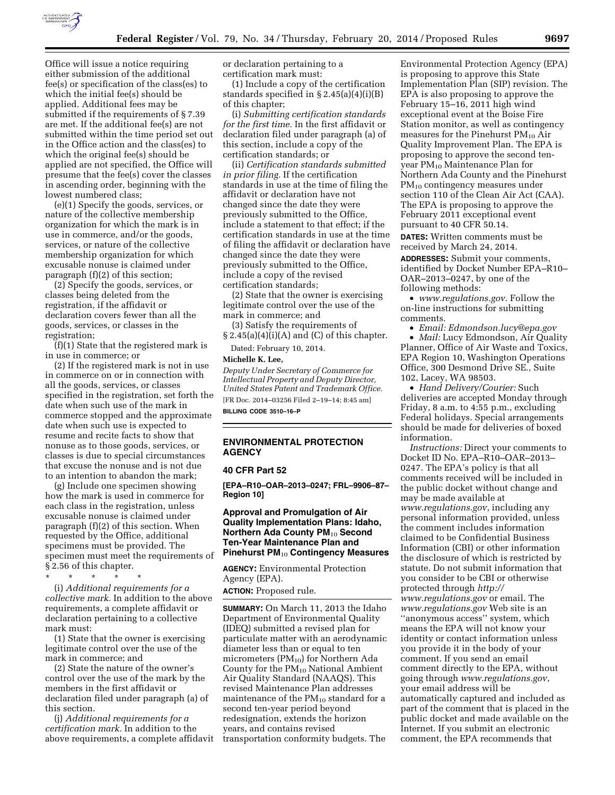

Office will issue a notice requiring either submission of the additional fee(s) or specification of the class(es) to which the initial fee(s) should be applied. Additional fees may be submitted if the requirements of § 7.39 are met. If the additional fee(s) are not submitted within the time period set out in the Office action and the class(es) to which the original fee(s) should be applied are not specified, the Office will presume that the fee(s) cover the classes in ascending order, beginning with the lowest numbered class;

(e)(1) Specify the goods, services, or nature of the collective membership organization for which the mark is in use in commerce, and/or the goods, services, or nature of the collective membership organization for which excusable nonuse is claimed under paragraph (f)(2) of this section;

(2) Specify the goods, services, or classes being deleted from the registration, if the affidavit or declaration covers fewer than all the goods, services, or classes in the registration;

(f)(1) State that the registered mark is in use in commerce; or

(2) If the registered mark is not in use in commerce on or in connection with all the goods, services, or classes specified in the registration, set forth the date when such use of the mark in commerce stopped and the approximate date when such use is expected to resume and recite facts to show that nonuse as to those goods, services, or classes is due to special circumstances that excuse the nonuse and is not due to an intention to abandon the mark;

(g) Include one specimen showing how the mark is used in commerce for each class in the registration, unless excusable nonuse is claimed under paragraph (f)(2) of this section. When requested by the Office, additional specimens must be provided. The specimen must meet the requirements of § 2.56 of this chapter.

 $\star$   $\qquad$   $\star$   $\qquad$   $\star$ 

(i) *Additional requirements for a collective mark.* In addition to the above requirements, a complete affidavit or declaration pertaining to a collective mark must:

(1) State that the owner is exercising legitimate control over the use of the mark in commerce; and

(2) State the nature of the owner's control over the use of the mark by the members in the first affidavit or declaration filed under paragraph (a) of this section.

(j) *Additional requirements for a certification mark.* In addition to the above requirements, a complete affidavit or declaration pertaining to a certification mark must:

(1) Include a copy of the certification standards specified in § 2.45(a)(4)(i)(B) of this chapter;

(i) *Submitting certification standards for the first time.* In the first affidavit or declaration filed under paragraph (a) of this section, include a copy of the certification standards; or

(ii) *Certification standards submitted in prior filing.* If the certification standards in use at the time of filing the affidavit or declaration have not changed since the date they were previously submitted to the Office, include a statement to that effect; if the certification standards in use at the time of filing the affidavit or declaration have changed since the date they were previously submitted to the Office, include a copy of the revised certification standards;

(2) State that the owner is exercising legitimate control over the use of the mark in commerce; and

(3) Satisfy the requirements of  $§ 2.45(a)(4)(i)(A)$  and (C) of this chapter.

Dated: February 10, 2014.

#### **Michelle K. Lee,**

*Deputy Under Secretary of Commerce for Intellectual Property and Deputy Director, United States Patent and Trademark Office.*  [FR Doc. 2014–03256 Filed 2–19–14; 8:45 am]

**BILLING CODE 3510–16–P** 

# **ENVIRONMENTAL PROTECTION AGENCY**

### **40 CFR Part 52**

**[EPA–R10–OAR–2013–0247; FRL–9906–87– Region 10]** 

# **Approval and Promulgation of Air Quality Implementation Plans: Idaho, Northern Ada County PM<sub>10</sub> Second Ten-Year Maintenance Plan and Pinehurst PM**10 **Contingency Measures**

**AGENCY:** Environmental Protection Agency (EPA).

**ACTION:** Proposed rule.

**SUMMARY:** On March 11, 2013 the Idaho Department of Environmental Quality (IDEQ) submitted a revised plan for particulate matter with an aerodynamic diameter less than or equal to ten micrometers  $(PM_{10})$  for Northern Ada County for the  $PM_{10}$  National Ambient Air Quality Standard (NAAQS). This revised Maintenance Plan addresses maintenance of the  $PM_{10}$  standard for a second ten-year period beyond redesignation, extends the horizon years, and contains revised transportation conformity budgets. The

Environmental Protection Agency (EPA) is proposing to approve this State Implementation Plan (SIP) revision. The EPA is also proposing to approve the February 15–16, 2011 high wind exceptional event at the Boise Fire Station monitor, as well as contingency measures for the Pinehurst  $PM_{10}$  Air Quality Improvement Plan. The EPA is proposing to approve the second tenyear PM10 Maintenance Plan for Northern Ada County and the Pinehurst PM10 contingency measures under section 110 of the Clean Air Act (CAA). The EPA is proposing to approve the February 2011 exceptional event pursuant to 40 CFR 50.14.

**DATES:** Written comments must be received by March 24, 2014.

**ADDRESSES:** Submit your comments, identified by Docket Number EPA–R10– OAR–2013–0247, by one of the following methods:

• *[www.regulations.gov](http://www.regulations.gov)*. Follow the on-line instructions for submitting comments.

• *Email: [Edmondson.lucy@epa.gov](mailto:Edmondson.lucy@epa.gov)*  • *Mail:* Lucy Edmondson, Air Quality Planner, Office of Air Waste and Toxics, EPA Region 10, Washington Operations Office, 300 Desmond Drive SE., Suite 102, Lacey, WA 98503.

• *Hand Delivery/Courier:* Such deliveries are accepted Monday through Friday, 8 a.m. to 4:55 p.m., excluding Federal holidays. Special arrangements should be made for deliveries of boxed information.

*Instructions:* Direct your comments to Docket ID No. EPA–R10–OAR–2013– 0247. The EPA's policy is that all comments received will be included in the public docket without change and may be made available at *[www.regulations.gov](http://www.regulations.gov)*, including any personal information provided, unless the comment includes information claimed to be Confidential Business Information (CBI) or other information the disclosure of which is restricted by statute. Do not submit information that you consider to be CBI or otherwise protected through *[http://](http://www.regulations.gov) [www.regulations.gov](http://www.regulations.gov)* or email. The *[www.regulations.gov](http://www.regulations.gov)* Web site is an ''anonymous access'' system, which means the EPA will not know your identity or contact information unless you provide it in the body of your comment. If you send an email comment directly to the EPA, without going through *[www.regulations.gov](http://www.regulations.gov)*, your email address will be automatically captured and included as part of the comment that is placed in the public docket and made available on the Internet. If you submit an electronic comment, the EPA recommends that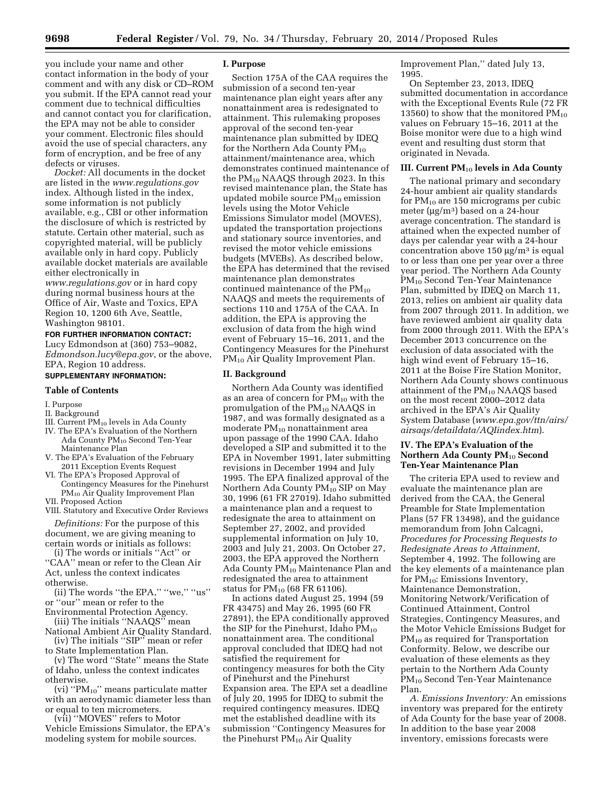you include your name and other contact information in the body of your comment and with any disk or CD–ROM you submit. If the EPA cannot read your comment due to technical difficulties and cannot contact you for clarification, the EPA may not be able to consider your comment. Electronic files should avoid the use of special characters, any form of encryption, and be free of any defects or viruses.

*Docket:* All documents in the docket are listed in the *[www.regulations.gov](http://www.regulations.gov)*  index. Although listed in the index, some information is not publicly available, e.g., CBI or other information the disclosure of which is restricted by statute. Certain other material, such as copyrighted material, will be publicly available only in hard copy. Publicly available docket materials are available either electronically in

*[www.regulations.gov](http://www.regulations.gov)* or in hard copy during normal business hours at the Office of Air, Waste and Toxics, EPA Region 10, 1200 6th Ave, Seattle, Washington 98101.

**FOR FURTHER INFORMATION CONTACT:**  Lucy Edmondson at (360) 753–9082, *[Edmondson.lucy@epa.gov](mailto:Edmondson.lucy@epa.gov)*, or the above, EPA, Region 10 address.

# **SUPPLEMENTARY INFORMATION:**

### **Table of Contents**

I. Purpose

- II. Background
- III. Current PM<sub>10</sub> levels in Ada County
- IV. The EPA's Evaluation of the Northern Ada County PM10 Second Ten-Year Maintenance Plan
- V. The EPA's Evaluation of the February 2011 Exception Events Request
- VI. The EPA's Proposed Approval of Contingency Measures for the Pinehurst PM10 Air Quality Improvement Plan

VII. Proposed Action

VIII. Statutory and Executive Order Reviews

*Definitions:* For the purpose of this document, we are giving meaning to certain words or initials as follows:

(i) The words or initials ''Act'' or ''CAA'' mean or refer to the Clean Air Act, unless the context indicates otherwise.

(ii) The words ''the EPA,'' ''we,'' ''us'' or ''our'' mean or refer to the

Environmental Protection Agency. (iii) The initials ''NAAQS'' mean

National Ambient Air Quality Standard. (iv) The initials ''SIP'' mean or refer

to State Implementation Plan. (v) The word ''State'' means the State

of Idaho, unless the context indicates otherwise.

(vi) ''PM10'' means particulate matter with an aerodynamic diameter less than or equal to ten micrometers.

(vii) ''MOVES'' refers to Motor Vehicle Emissions Simulator, the EPA's modeling system for mobile sources.

### **I. Purpose**

Section 175A of the CAA requires the submission of a second ten-year maintenance plan eight years after any nonattainment area is redesignated to attainment. This rulemaking proposes approval of the second ten-year maintenance plan submitted by IDEQ for the Northern Ada County PM<sub>10</sub> attainment/maintenance area, which demonstrates continued maintenance of the PM10 NAAQS through 2023. In this revised maintenance plan, the State has updated mobile source  $PM_{10}$  emission levels using the Motor Vehicle Emissions Simulator model (MOVES), updated the transportation projections and stationary source inventories, and revised the motor vehicle emissions budgets (MVEBs). As described below, the EPA has determined that the revised maintenance plan demonstrates continued maintenance of the  $PM_{10}$ NAAQS and meets the requirements of sections 110 and 175A of the CAA. In addition, the EPA is approving the exclusion of data from the high wind event of February 15–16, 2011, and the Contingency Measures for the Pinehurst PM10 Air Quality Improvement Plan.

#### **II. Background**

Northern Ada County was identified as an area of concern for  $PM_{10}$  with the promulgation of the  $PM_{10}$  NAAQS in 1987, and was formally designated as a moderate  $PM_{10}$  nonattainment area upon passage of the 1990 CAA. Idaho developed a SIP and submitted it to the EPA in November 1991, later submitting revisions in December 1994 and July 1995. The EPA finalized approval of the Northern Ada County PM<sub>10</sub> SIP on May 30, 1996 (61 FR 27019). Idaho submitted a maintenance plan and a request to redesignate the area to attainment on September 27, 2002, and provided supplemental information on July 10, 2003 and July 21, 2003. On October 27, 2003, the EPA approved the Northern Ada County  $PM_{10}$  Maintenance Plan and redesignated the area to attainment status for  $PM_{10}$  (68 FR 61106).

In actions dated August 25, 1994 (59 FR 43475) and May 26, 1995 (60 FR 27891), the EPA conditionally approved the SIP for the Pinehurst, Idaho  $\overline{PM}_{10}$ nonattainment area. The conditional approval concluded that IDEQ had not satisfied the requirement for contingency measures for both the City of Pinehurst and the Pinehurst Expansion area. The EPA set a deadline of July 20, 1995 for IDEQ to submit the required contingency measures. IDEQ met the established deadline with its submission ''Contingency Measures for the Pinehurst PM10 Air Quality

Improvement Plan,'' dated July 13, 1995.

On September 23, 2013, IDEQ submitted documentation in accordance with the Exceptional Events Rule (72 FR 13560) to show that the monitored  $PM_{10}$ values on February 15–16, 2011 at the Boise monitor were due to a high wind event and resulting dust storm that originated in Nevada.

#### **III. Current PM**10 **levels in Ada County**

The national primary and secondary 24-hour ambient air quality standards for  $PM_{10}$  are 150 micrograms per cubic meter ( $\mu$ g/m<sup>3</sup>) based on a 24-hour average concentration. The standard is attained when the expected number of days per calendar year with a 24-hour concentration above  $150 \mu g/m^3$  is equal to or less than one per year over a three year period. The Northern Ada County PM<sub>10</sub> Second Ten-Year Maintenance Plan, submitted by IDEQ on March 11, 2013, relies on ambient air quality data from 2007 through 2011. In addition, we have reviewed ambient air quality data from 2000 through 2011. With the EPA's December 2013 concurrence on the exclusion of data associated with the high wind event of February 15–16, 2011 at the Boise Fire Station Monitor, Northern Ada County shows continuous attainment of the PM<sub>10</sub> NAAQS based on the most recent 2000–2012 data archived in the EPA's Air Quality System Database (*[www.epa.gov/ttn/airs/](http://www.epa.gov/ttn/airs/airsaqs/detaildata/AQIindex.htm) [airsaqs/detaildata/AQIindex.htm](http://www.epa.gov/ttn/airs/airsaqs/detaildata/AQIindex.htm)*).

## **IV. The EPA's Evaluation of the Northern Ada County PM**10 **Second Ten-Year Maintenance Plan**

The criteria EPA used to review and evaluate the maintenance plan are derived from the CAA, the General Preamble for State Implementation Plans (57 FR 13498), and the guidance memorandum from John Calcagni, *Procedures for Processing Requests to Redesignate Areas to Attainment,*  September 4, 1992. The following are the key elements of a maintenance plan for  $PM_{10}$ : Emissions Inventory, Maintenance Demonstration, Monitoring Network/Verification of Continued Attainment, Control Strategies, Contingency Measures, and the Motor Vehicle Emissions Budget for  $PM_{10}$  as required for Transportation Conformity. Below, we describe our evaluation of these elements as they pertain to the Northern Ada County PM10 Second Ten-Year Maintenance Plan.

*A. Emissions Inventory:* An emissions inventory was prepared for the entirety of Ada County for the base year of 2008. In addition to the base year 2008 inventory, emissions forecasts were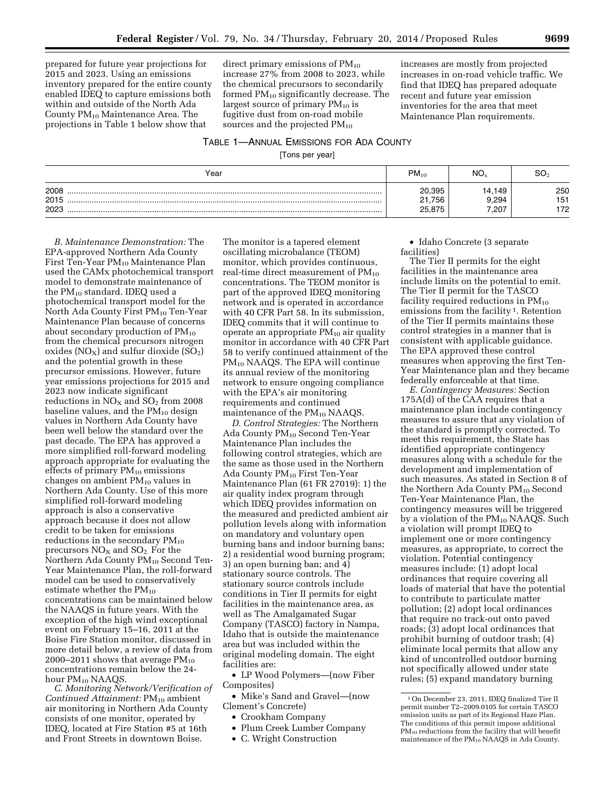prepared for future year projections for 2015 and 2023. Using an emissions inventory prepared for the entire county enabled IDEQ to capture emissions both within and outside of the North Ada County PM10 Maintenance Area. The projections in Table 1 below show that

direct primary emissions of  $PM_{10}$ increase 27% from 2008 to 2023, while the chemical precursors to secondarily formed PM10 significantly decrease. The largest source of primary  $PM_{10}$  is fugitive dust from on-road mobile sources and the projected  $PM_{10}$ 

increases are mostly from projected increases in on-road vehicle traffic. We find that IDEQ has prepared adequate recent and future year emission inventories for the area that meet Maintenance Plan requirements.

## TABLE 1—ANNUAL EMISSIONS FOR ADA COUNTY

[Tons per year]

| Year                 | $PM_{10}$                  | NO <sub>x</sub>          | SO.               |
|----------------------|----------------------------|--------------------------|-------------------|
| 2008<br>2015<br>2023 | 20,395<br>21,756<br>25,875 | 14,149<br>9,294<br>7,207 | 250<br>151<br>172 |

*B. Maintenance Demonstration:* The EPA-approved Northern Ada County First Ten-Year  $PM_{10}$  Maintenance Plan used the CAMx photochemical transport model to demonstrate maintenance of the  $PM_{10}$  standard. IDEQ used a photochemical transport model for the North Ada County First  $PM_{10}$  Ten-Year Maintenance Plan because of concerns about secondary production of  $PM_{10}$ from the chemical precursors nitrogen oxides ( $NO_X$ ) and sulfur dioxide ( $SO_2$ ) and the potential growth in these precursor emissions. However, future year emissions projections for 2015 and 2023 now indicate significant reductions in  $NO<sub>X</sub>$  and  $SO<sub>2</sub>$  from 2008 baseline values, and the  $PM_{10}$  design values in Northern Ada County have been well below the standard over the past decade. The EPA has approved a more simplified roll-forward modeling approach appropriate for evaluating the effects of primary  $PM_{10}$  emissions changes on ambient PM<sub>10</sub> values in Northern Ada County. Use of this more simplified roll-forward modeling approach is also a conservative approach because it does not allow credit to be taken for emissions reductions in the secondary  $PM_{10}$ precursors  $NO<sub>X</sub>$  and  $SO<sub>2</sub>$ . For the Northern Ada County PM<sub>10</sub> Second Ten-Year Maintenance Plan, the roll-forward model can be used to conservatively estimate whether the  $PM_{10}$ concentrations can be maintained below the NAAQS in future years. With the exception of the high wind exceptional event on February 15–16, 2011 at the Boise Fire Station monitor, discussed in more detail below, a review of data from 2000–2011 shows that average  $PM_{10}$ concentrations remain below the 24 hour PM<sub>10</sub> NAAQS.

*C. Monitoring Network/Verification of Continued Attainment:* PM<sub>10</sub> ambient air monitoring in Northern Ada County consists of one monitor, operated by IDEQ, located at Fire Station #5 at 16th and Front Streets in downtown Boise.

The monitor is a tapered element oscillating microbalance (TEOM) monitor, which provides continuous, real-time direct measurement of  $PM_{10}$ concentrations. The TEOM monitor is part of the approved IDEQ monitoring network and is operated in accordance with 40 CFR Part 58. In its submission, IDEQ commits that it will continue to operate an appropriate  $PM_{10}$  air quality monitor in accordance with 40 CFR Part 58 to verify continued attainment of the PM<sub>10</sub> NAAQS. The EPA will continue its annual review of the monitoring network to ensure ongoing compliance with the EPA's air monitoring requirements and continued maintenance of the PM<sub>10</sub> NAAQS.

*D. Control Strategies:* The Northern Ada County PM10 Second Ten-Year Maintenance Plan includes the following control strategies, which are the same as those used in the Northern Ada County PM10 First Ten-Year Maintenance Plan (61 FR 27019): 1) the air quality index program through which IDEQ provides information on the measured and predicted ambient air pollution levels along with information on mandatory and voluntary open burning bans and indoor burning bans; 2) a residential wood burning program; 3) an open burning ban; and 4) stationary source controls. The stationary source controls include conditions in Tier II permits for eight facilities in the maintenance area, as well as The Amalgamated Sugar Company (TASCO) factory in Nampa, Idaho that is outside the maintenance area but was included within the original modeling domain. The eight facilities are:

• LP Wood Polymers—(now Fiber Composites)

• Mike's Sand and Gravel—(now Clement's Concrete)

- Crookham Company
- Plum Creek Lumber Company
- C. Wright Construction

• Idaho Concrete (3 separate facilities)

The Tier II permits for the eight facilities in the maintenance area include limits on the potential to emit. The Tier II permit for the TASCO facility required reductions in  $PM_{10}$ emissions from the facility <sup>1</sup>. Retention of the Tier II permits maintains these control strategies in a manner that is consistent with applicable guidance. The EPA approved these control measures when approving the first Ten-Year Maintenance plan and they became federally enforceable at that time.

*E. Contingency Measures:* Section 175A(d) of the CAA requires that a maintenance plan include contingency measures to assure that any violation of the standard is promptly corrected. To meet this requirement, the State has identified appropriate contingency measures along with a schedule for the development and implementation of such measures. As stated in Section 8 of the Northern Ada County  $PM_{10}$  Second Ten-Year Maintenance Plan, the contingency measures will be triggered by a violation of the PM<sub>10</sub> NAAQS. Such a violation will prompt IDEQ to implement one or more contingency measures, as appropriate, to correct the violation. Potential contingency measures include: (1) adopt local ordinances that require covering all loads of material that have the potential to contribute to particulate matter pollution; (2) adopt local ordinances that require no track-out onto paved roads; (3) adopt local ordinances that prohibit burning of outdoor trash; (4) eliminate local permits that allow any kind of uncontrolled outdoor burning not specifically allowed under state rules; (5) expand mandatory burning

<sup>1</sup>On December 23, 2011, IDEQ finalized Tier II permit number T2–2009.0105 for certain TASCO emission units as part of its Regional Haze Plan. The conditions of this permit impose additional PM<sub>10</sub> reductions from the facility that will benefit maintenance of the  $PM_{10}$  NAAQS in Ada County.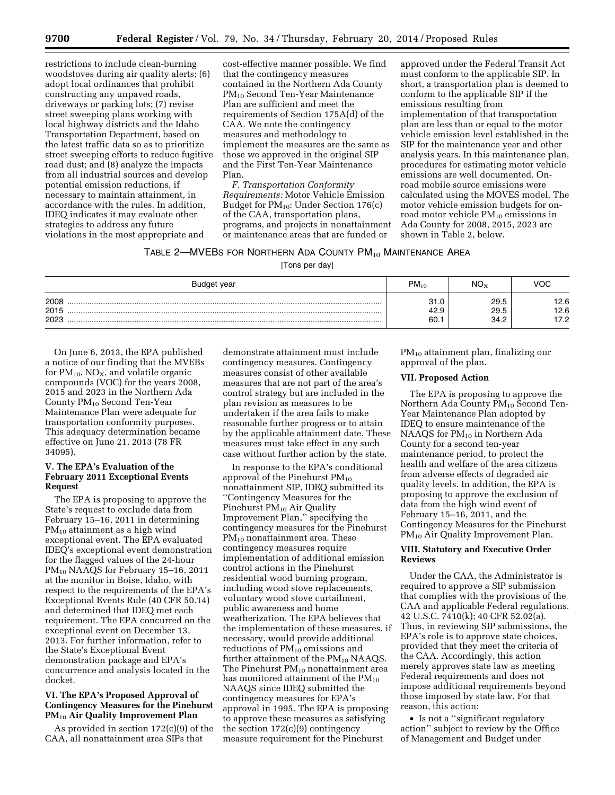restrictions to include clean-burning woodstoves during air quality alerts; (6) adopt local ordinances that prohibit constructing any unpaved roads, driveways or parking lots; (7) revise street sweeping plans working with local highway districts and the Idaho Transportation Department, based on the latest traffic data so as to prioritize street sweeping efforts to reduce fugitive road dust; and (8) analyze the impacts from all industrial sources and develop potential emission reductions, if necessary to maintain attainment, in accordance with the rules. In addition, IDEQ indicates it may evaluate other strategies to address any future violations in the most appropriate and

cost-effective manner possible. We find that the contingency measures contained in the Northern Ada County PM10 Second Ten-Year Maintenance Plan are sufficient and meet the requirements of Section 175A(d) of the CAA. We note the contingency measures and methodology to implement the measures are the same as those we approved in the original SIP and the First Ten-Year Maintenance Plan.

*F. Transportation Conformity Requirements:* Motor Vehicle Emission Budget for PM10: Under Section 176(c) of the CAA, transportation plans, programs, and projects in nonattainment or maintenance areas that are funded or

approved under the Federal Transit Act must conform to the applicable SIP. In short, a transportation plan is deemed to conform to the applicable SIP if the emissions resulting from implementation of that transportation plan are less than or equal to the motor vehicle emission level established in the SIP for the maintenance year and other analysis years. In this maintenance plan, procedures for estimating motor vehicle emissions are well documented. Onroad mobile source emissions were calculated using the MOVES model. The motor vehicle emission budgets for onroad motor vehicle PM10 emissions in Ada County for 2008, 2015, 2023 are shown in Table 2, below.

TABLE 2-MVEBS FOR NORTHERN ADA COUNTY PM<sub>10</sub> MAINTENANCE AREA

[Tons per day]

| Budget year          | $PM_{10}$                   | $NO_{\rm v}$         | VOC         |
|----------------------|-----------------------------|----------------------|-------------|
| 2008<br>2015<br>2023 | ⊶<br>ں. ا ت<br>42.9<br>60.7 | 29.5<br>29.5<br>34.2 | 2.6<br>12.6 |

On June 6, 2013, the EPA published a notice of our finding that the MVEBs for  $PM_{10}$ , NO<sub>X</sub>, and volatile organic compounds (VOC) for the years 2008, 2015 and 2023 in the Northern Ada County PM10 Second Ten-Year Maintenance Plan were adequate for transportation conformity purposes. This adequacy determination became effective on June 21, 2013 (78 FR 34095).

## **V. The EPA's Evaluation of the February 2011 Exceptional Events Request**

The EPA is proposing to approve the State's request to exclude data from February 15–16, 2011 in determining PM<sub>10</sub> attainment as a high wind exceptional event. The EPA evaluated IDEQ's exceptional event demonstration for the flagged values of the 24-hour PM10 NAAQS for February 15–16, 2011 at the monitor in Boise, Idaho, with respect to the requirements of the EPA's Exceptional Events Rule (40 CFR 50.14) and determined that IDEQ met each requirement. The EPA concurred on the exceptional event on December 13, 2013. For further information, refer to the State's Exceptional Event demonstration package and EPA's concurrence and analysis located in the docket.

# **VI. The EPA's Proposed Approval of Contingency Measures for the Pinehurst PM**10 **Air Quality Improvement Plan**

As provided in section 172(c)(9) of the CAA, all nonattainment area SIPs that

demonstrate attainment must include contingency measures. Contingency measures consist of other available measures that are not part of the area's control strategy but are included in the plan revision as measures to be undertaken if the area fails to make reasonable further progress or to attain by the applicable attainment date. These measures must take effect in any such case without further action by the state.

In response to the EPA's conditional approval of the Pinehurst  $PM_{10}$ nonattainment SIP, IDEQ submitted its ''Contingency Measures for the Pinehurst PM<sub>10</sub> Air Quality Improvement Plan,'' specifying the contingency measures for the Pinehurst  $PM_{10}$  nonattainment area. These contingency measures require implementation of additional emission control actions in the Pinehurst residential wood burning program, including wood stove replacements, voluntary wood stove curtailment, public awareness and home weatherization. The EPA believes that the implementation of these measures, if necessary, would provide additional reductions of  $PM_{10}$  emissions and further attainment of the  $PM_{10}$  NAAQS. The Pinehurst  $PM_{10}$  nonattainment area has monitored attainment of the  $PM_{10}$ NAAQS since IDEQ submitted the contingency measures for EPA's approval in 1995. The EPA is proposing to approve these measures as satisfying the section 172(c)(9) contingency measure requirement for the Pinehurst

PM10 attainment plan, finalizing our approval of the plan.

### **VII. Proposed Action**

The EPA is proposing to approve the Northern Ada County  $PM_{10}$  Second Ten-Year Maintenance Plan adopted by IDEQ to ensure maintenance of the NAAQS for  $PM_{10}$  in Northern Ada County for a second ten-year maintenance period, to protect the health and welfare of the area citizens from adverse effects of degraded air quality levels. In addition, the EPA is proposing to approve the exclusion of data from the high wind event of February 15–16, 2011, and the Contingency Measures for the Pinehurst PM<sub>10</sub> Air Quality Improvement Plan.

#### **VIII. Statutory and Executive Order Reviews**

Under the CAA, the Administrator is required to approve a SIP submission that complies with the provisions of the CAA and applicable Federal regulations. 42 U.S.C. 7410(k); 40 CFR 52.02(a). Thus, in reviewing SIP submissions, the EPA's role is to approve state choices, provided that they meet the criteria of the CAA. Accordingly, this action merely approves state law as meeting Federal requirements and does not impose additional requirements beyond those imposed by state law. For that reason, this action:

• Is not a ''significant regulatory action'' subject to review by the Office of Management and Budget under